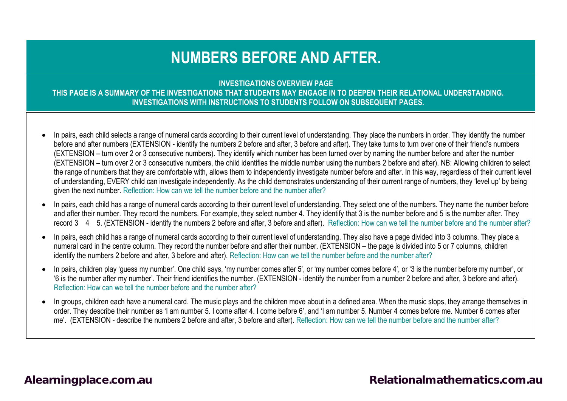# **NUMBERS BEFORE AND AFTER.**

**INVESTIGATIONS OVERVIEW PAGE**

**THIS PAGE IS A SUMMARY OF THE INVESTIGATIONS THAT STUDENTS MAY ENGAGE IN TO DEEPEN THEIR RELATIONAL UNDERSTANDING. INVESTIGATIONS WITH INSTRUCTIONS TO STUDENTS FOLLOW ON SUBSEQUENT PAGES.**

- In pairs, each child selects a range of numeral cards according to their current level of understanding. They place the numbers in order. They identify the number before and after numbers (EXTENSION - identify the numbers 2 before and after, 3 before and after). They take turns to turn over one of their friend's numbers (EXTENSION – turn over 2 or 3 consecutive numbers). They identify which number has been turned over by naming the number before and after the number (EXTENSION – turn over 2 or 3 consecutive numbers, the child identifies the middle number using the numbers 2 before and after). NB: Allowing children to select the range of numbers that they are comfortable with, allows them to independently investigate number before and after. In this way, regardless of their current level of understanding, EVERY child can investigate independently. As the child demonstrates understanding of their current range of numbers, they 'level up' by being given the next number. Reflection: How can we tell the number before and the number after?
- In pairs, each child has a range of numeral cards according to their current level of understanding. They select one of the numbers. They name the number before and after their number. They record the numbers. For example, they select number 4. They identify that 3 is the number before and 5 is the number after. They record 3 4 5. (EXTENSION - identify the numbers 2 before and after, 3 before and after). Reflection: How can we tell the number before and the number after?
- In pairs, each child has a range of numeral cards according to their current level of understanding. They also have a page divided into 3 columns. They place a numeral card in the centre column. They record the number before and after their number. (EXTENSION – the page is divided into 5 or 7 columns, children identify the numbers 2 before and after, 3 before and after). Reflection: How can we tell the number before and the number after?
- In pairs, children play 'quess my number'. One child says, 'my number comes after 5', or 'my number comes before 4', or '3 is the number before my number', or '6 is the number after my number'. Their friend identifies the number. (EXTENSION - identify the number from a number 2 before and after, 3 before and after). Reflection: How can we tell the number before and the number after?
- In groups, children each have a numeral card. The music plays and the children move about in a defined area. When the music stops, they arrange themselves in order. They describe their number as 'I am number 5. I come after 4. I come before 6', and 'I am number 5. Number 4 comes before me. Number 6 comes after me'. (EXTENSION - describe the numbers 2 before and after, 3 before and after). Reflection: How can we tell the number before and the number after?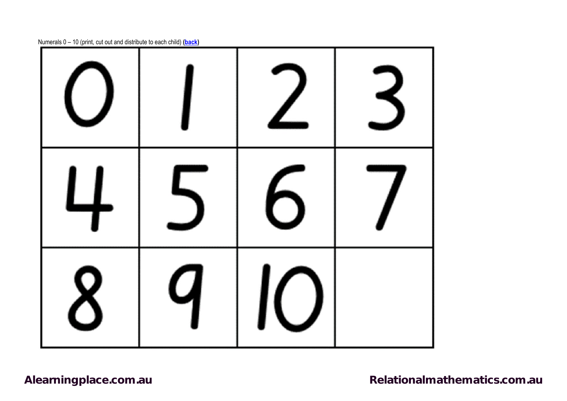

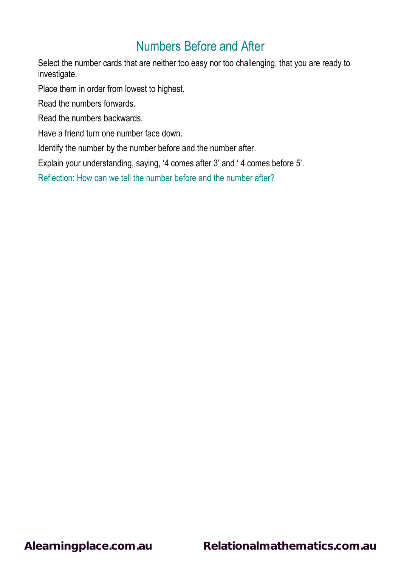Select the number cards that are neither too easy nor too challenging, that you are ready to investigate.

Place them in order from lowest to highest.

Read the numbers forwards.

Read the numbers backwards.

Have a friend turn one number face down.

Identify the number by the number before and the number after.

Explain your understanding, saying, '4 comes after 3' and ' 4 comes before 5'.

Reflection: How can we tell the number before and the number after?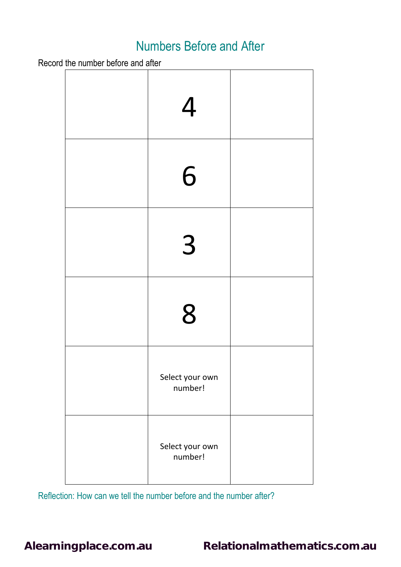Record the number before and after

| $\overline{4}$             |  |
|----------------------------|--|
| 6                          |  |
| 3                          |  |
| 8                          |  |
| Select your own<br>number! |  |
| Select your own<br>number! |  |

Reflection: How can we tell the number before and the number after?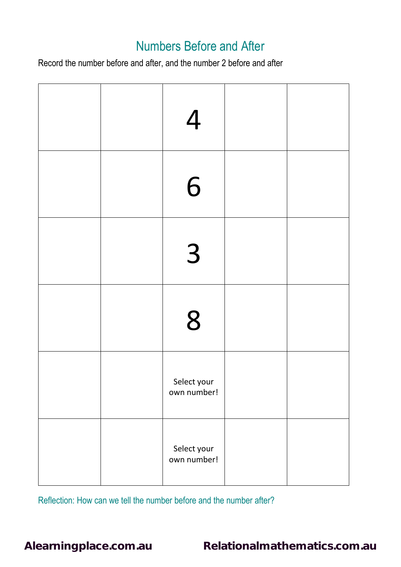Record the number before and after, and the number 2 before and after

|  | $\overline{4}$             |  |
|--|----------------------------|--|
|  | 6                          |  |
|  | 3                          |  |
|  | 8                          |  |
|  | Select your<br>own number! |  |
|  | Select your<br>own number! |  |

Reflection: How can we tell the number before and the number after?

**[Alearningplace.com.au](https://alearningplace.com.au/) [Relationalmathematics.com.au](http://relationalmathematics.com.au/)**